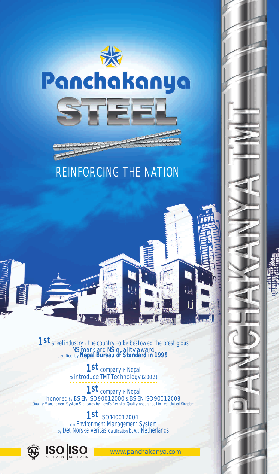

# **Ranchakanya**

ST

REINFORCING THE NATION

# certified by **Nepal Bureau of Standard in 1999 1 st** steel industry in the country to be bestowed the prestigious NS mark and NS quality award

**1 St** company in Nepal<br>to introduce TMT Technology (2002)

**1 St** company in Nepal<br>honored by BS EN ISO 9001:2000 & BS EN ISO 9001:2008 Quality Management System Standards by Lloyd's Register Quality Assurance Limited, United Kingdom

> **1st** ISO 14001:2004 on Environment Management System by Det Norske Veritas Certification B.V., Netherlands



www.panchakanya.com